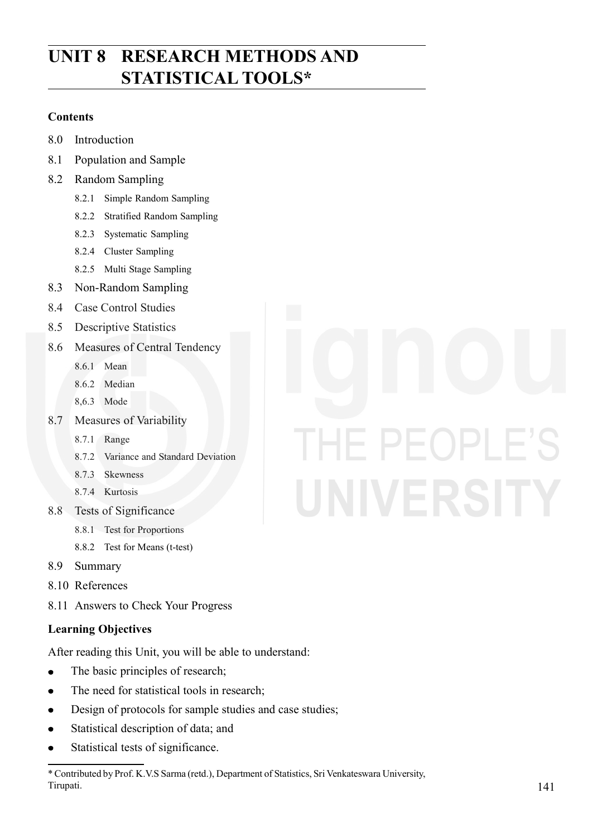# **UNIT 8 RESEARCH METHODS AND STATISTICAL TOOLS\***

#### **Contents**

- 8.0 Introduction
- 8.1 Population and Sample
- 8.2 Random Sampling
	- 8.2.1 Simple Random Sampling
	- 8.2.2 Stratified Random Sampling
	- 8.2.3 Systematic Sampling
	- 8.2.4 Cluster Sampling
	- 8.2.5 Multi Stage Sampling
- 8.3 Non-Random Sampling
- 8.4 Case Control Studies
- 8.5 Descriptive Statistics
- 8.6 Measures of Central Tendency
	- 8.6.1 Mean
	- 8.6.2 Median
	- 8,6.3 Mode
- 8.7 Measures of Variability
	- 8.7.1 Range
	- 8.7.2 Variance and Standard Deviation
	- 8.7.3 Skewness
	- 8.7.4 Kurtosis
- 8.8 Tests of Significance
	- 8.8.1 Test for Proportions
	- 8.8.2 Test for Means (t-test)
- 8.9 Summary
- 8.10 References
- 8.11 Answers to Check Your Progress

#### **Learning Objectives**

After reading this Unit, you will be able to understand:

- The basic principles of research;  $\bullet$
- The need for statistical tools in research;  $\bullet$
- Design of protocols for sample studies and case studies;  $\bullet$
- Statistical description of data; and
- $\bullet$ Statistical tests of significance.
- \* Contributed by Prof. K.V.S Sarma (retd.), Department of Statistics, Sri Venkateswara University, Tirupati.

# IE PEOPLE'S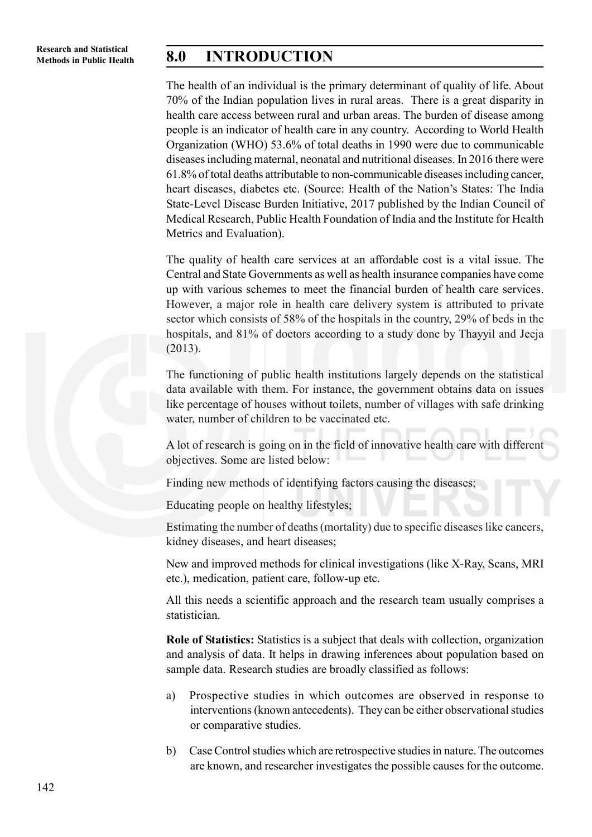# **Methods in Public Health 8.0 INTRODUCTION**

The health of an individual is the primary determinant of quality of life. About 70% of the Indian population lives in rural areas. There is a great disparity in health care access between rural and urban areas. The burden of disease among people is an indicator of health care in any country. According to World Health Organization (WHO) 53.6% of total deaths in 1990 were due to communicable diseases including maternal, neonatal and nutritional diseases. In 2016 there were 61.8% of total deaths attributable to non-communicable diseases including cancer, heart diseases, diabetes etc. (Source: Health of the Nation's States: The India State-Level Disease Burden Initiative, 2017 published by the Indian Council of Medical Research, Public Health Foundation of India and the Institute for Health Metrics and Evaluation).

The quality of health care services at an affordable cost is a vital issue. The Central and State Governments as well as health insurance companies have come up with various schemes to meet the financial burden of health care services. However, a major role in health care delivery system is attributed to private sector which consists of 58% of the hospitals in the country, 29% of beds in the hospitals, and 81% of doctors according to a study done by Thayyil and Jeeja (2013).

The functioning of public health institutions largely depends on the statistical data available with them. For instance, the government obtains data on issues like percentage of houses without toilets, number of villages with safe drinking water, number of children to be vaccinated etc.

A lot of research is going on in the field of innovative health care with different objectives. Some are listed below:

Finding new methods of identifying factors causing the diseases;

Educating people on healthy lifestyles;

Estimating the number of deaths (mortality) due to specific diseases like cancers, kidney diseases, and heart diseases;

New and improved methods for clinical investigations (like X-Ray, Scans, MRI etc.), medication, patient care, follow-up etc.

All this needs a scientific approach and the research team usually comprises a statistician.

**Role of Statistics:** Statistics is a subject that deals with collection, organization and analysis of data. It helps in drawing inferences about population based on sample data. Research studies are broadly classified as follows:

- a) Prospective studies in which outcomes are observed in response to interventions (known antecedents). They can be either observational studies or comparative studies.
- b) Case Control studies which are retrospective studies in nature. The outcomes are known, and researcher investigates the possible causes for the outcome.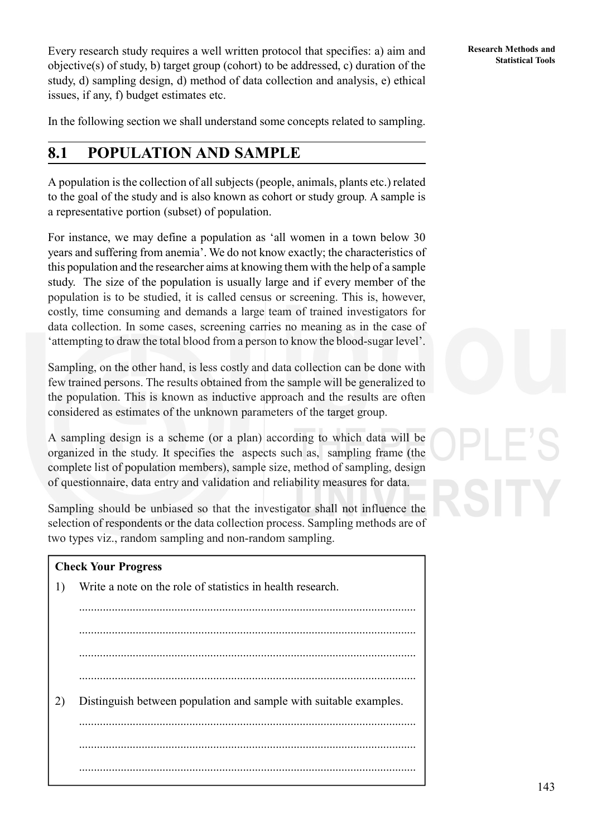Every research study requires a well written protocol that specifies: a) aim and<br>
Statistical Tools objective(s) of study, b) target group (cohort) to be addressed, c) duration of the study, d) sampling design, d) method of data collection and analysis, e) ethical issues, if any, f) budget estimates etc.

In the following section we shall understand some concepts related to sampling.

# **8.1 POPULATION AND SAMPLE**

A population is the collection of all subjects (people, animals, plants etc.) related to the goal of the study and is also known as cohort or study group*.* A sample is a representative portion (subset) of population.

For instance, we may define a population as 'all women in a town below 30 years and suffering from anemia'. We do not know exactly; the characteristics of this population and the researcher aims at knowing them with the help of a sample study. The size of the population is usually large and if every member of the population is to be studied, it is called census or screening. This is, however, costly, time consuming and demands a large team of trained investigators for data collection. In some cases, screening carries no meaning as in the case of 'attempting to draw the total blood from a person to know the blood-sugar level'.

Sampling, on the other hand, is less costly and data collection can be done with few trained persons. The results obtained from the sample will be generalized to the population. This is known as inductive approach and the results are often considered as estimates of the unknown parameters of the target group.

A sampling design is a scheme (or a plan) according to which data will be organized in the study. It specifies the aspects such as, sampling frame (the complete list of population members), sample size, method of sampling, design of questionnaire, data entry and validation and reliability measures for data.

Sampling should be unbiased so that the investigator shall not influence the selection of respondents or the data collection process. Sampling methods are of two types viz., random sampling and non-random sampling.

.................................................................................................................

#### **Check Your Progress**

1) Write a note on the role of statistics in health research.

................................................................................................................. 2) Distinguish between population and sample with suitable examples. ................................................................................................................. .................................................................................................................

.................................................................................................................

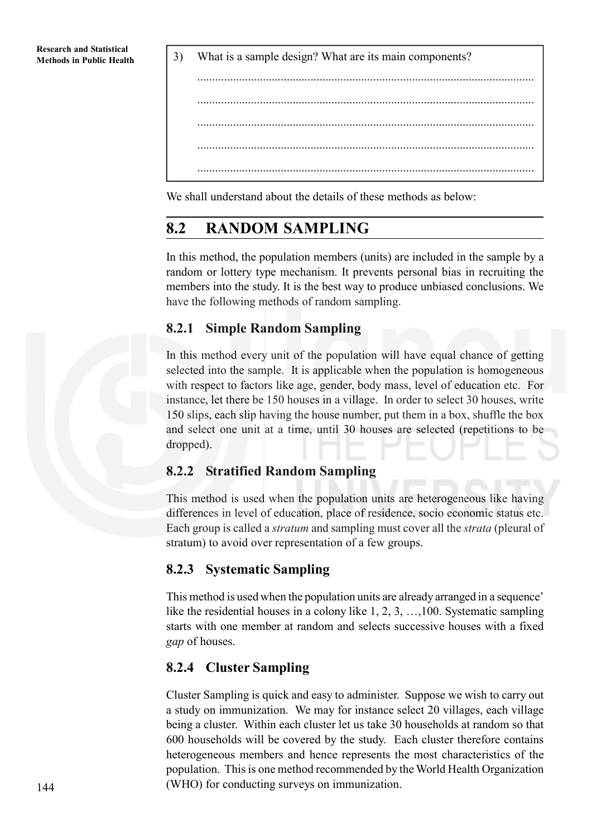**Methods in Public Health** 3) What is a sample design? What are its main components?



We shall understand about the details of these methods as below:

# **8.2 RANDOM SAMPLING**

In this method, the population members (units) are included in the sample by a random or lottery type mechanism. It prevents personal bias in recruiting the members into the study. It is the best way to produce unbiased conclusions. We have the following methods of random sampling.

#### **8.2.1 Simple Random Sampling**

In this method every unit of the population will have equal chance of getting selected into the sample. It is applicable when the population is homogeneous with respect to factors like age, gender, body mass, level of education etc. For instance, let there be 150 houses in a village. In order to select 30 houses, write 150 slips, each slip having the house number, put them in a box, shuffle the box and select one unit at a time, until 30 houses are selected (repetitions to be dropped).

### **8.2.2 Stratified Random Sampling**

This method is used when the population units are heterogeneous like having differences in level of education, place of residence, socio economic status etc. Each group is called a *stratum* and sampling must cover all the *strata* (pleural of stratum) to avoid over representation of a few groups.

### **8.2.3 Systematic Sampling**

This method is used when the population units are already arranged in a sequence' like the residential houses in a colony like 1, 2, 3, …,100. Systematic sampling starts with one member at random and selects successive houses with a fixed *gap* of houses.

### **8.2.4 Cluster Sampling**

Cluster Sampling is quick and easy to administer. Suppose we wish to carry out a study on immunization. We may for instance select 20 villages, each village being a cluster. Within each cluster let us take 30 households at random so that 600 households will be covered by the study. Each cluster therefore contains heterogeneous members and hence represents the most characteristics of the population. This is one method recommended by the World Health Organization (WHO) for conducting surveys on immunization.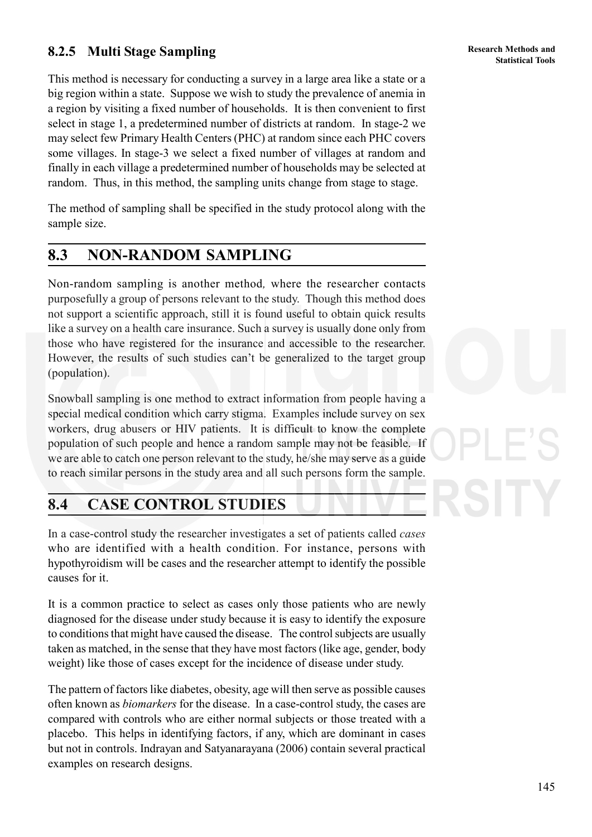# **Statistical Tools 8.2.5 Multi Stage Sampling**

This method is necessary for conducting a survey in a large area like a state or a big region within a state. Suppose we wish to study the prevalence of anemia in a region by visiting a fixed number of households. It is then convenient to first select in stage 1, a predetermined number of districts at random. In stage-2 we may select few Primary Health Centers (PHC) at random since each PHC covers some villages. In stage-3 we select a fixed number of villages at random and finally in each village a predetermined number of households may be selected at random. Thus, in this method, the sampling units change from stage to stage.

The method of sampling shall be specified in the study protocol along with the sample size.

# **8.3 NON-RANDOM SAMPLING**

Non-random sampling is another method*,* where the researcher contacts purposefully a group of persons relevant to the study. Though this method does not support a scientific approach, still it is found useful to obtain quick results like a survey on a health care insurance. Such a survey is usually done only from those who have registered for the insurance and accessible to the researcher. However, the results of such studies can't be generalized to the target group (population).

Snowball sampling is one method to extract information from people having a special medical condition which carry stigma. Examples include survey on sex workers, drug abusers or HIV patients. It is difficult to know the complete population of such people and hence a random sample may not be feasible. If we are able to catch one person relevant to the study, he/she may serve as a guide to reach similar persons in the study area and all such persons form the sample.

# **8.4 CASE CONTROL STUDIES**

In a case-control study the researcher investigates a set of patients called *cases* who are identified with a health condition. For instance, persons with hypothyroidism will be cases and the researcher attempt to identify the possible causes for it.

It is a common practice to select as cases only those patients who are newly diagnosed for the disease under study because it is easy to identify the exposure to conditions that might have caused the disease. The control subjects are usually taken as matched, in the sense that they have most factors (like age, gender, body weight) like those of cases except for the incidence of disease under study.

The pattern of factors like diabetes, obesity, age will then serve as possible causes often known as *biomarkers* for the disease. In a case-control study, the cases are compared with controls who are either normal subjects or those treated with a placebo. This helps in identifying factors, if any, which are dominant in cases but not in controls. Indrayan and Satyanarayana (2006) contain several practical examples on research designs.

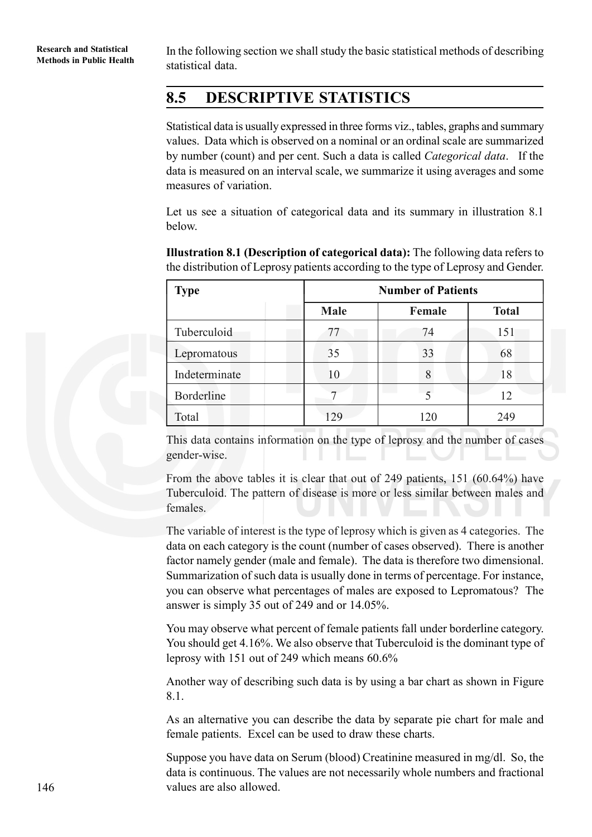**Methods in Public Health** In the following section we shall study the basic statistical methods of describing Methods in Public Health statistical data.

# **8.5 DESCRIPTIVE STATISTICS**

Statistical data is usually expressed in three forms viz., tables, graphs and summary values. Data which is observed on a nominal or an ordinal scale are summarized by number (count) and per cent. Such a data is called *Categorical data*. If the data is measured on an interval scale, we summarize it using averages and some measures of variation.

Let us see a situation of categorical data and its summary in illustration 8.1 below.

| <b>Type</b>   | <b>Number of Patients</b> |        |              |  |  |  |
|---------------|---------------------------|--------|--------------|--|--|--|
|               | <b>Male</b>               | Female | <b>Total</b> |  |  |  |
| Tuberculoid   | 77                        | 74     | 151          |  |  |  |
| Lepromatous   | 35                        | 33     | 68           |  |  |  |
| Indeterminate | 10                        | 8      | 18           |  |  |  |
| Borderline    |                           |        | 12           |  |  |  |
| Total         | 129                       | 120    | 249          |  |  |  |

**Illustration 8.1 (Description of categorical data):** The following data refers to the distribution of Leprosy patients according to the type of Leprosy and Gender.

This data contains information on the type of leprosy and the number of cases gender-wise.

From the above tables it is clear that out of 249 patients, 151 (60.64%) have Tuberculoid. The pattern of disease is more or less similar between males and females.

The variable of interest is the type of leprosy which is given as 4 categories. The data on each category is the count (number of cases observed). There is another factor namely gender (male and female). The data is therefore two dimensional. Summarization of such data is usually done in terms of percentage. For instance, you can observe what percentages of males are exposed to Lepromatous? The answer is simply 35 out of 249 and or 14.05%.

You may observe what percent of female patients fall under borderline category. You should get 4.16%. We also observe that Tuberculoid is the dominant type of leprosy with 151 out of 249 which means 60.6%

Another way of describing such data is by using a bar chart as shown in Figure 8.1.

As an alternative you can describe the data by separate pie chart for male and female patients. Excel can be used to draw these charts.

Suppose you have data on Serum (blood) Creatinine measured in mg/dl. So, the data is continuous. The values are not necessarily whole numbers and fractional values are also allowed.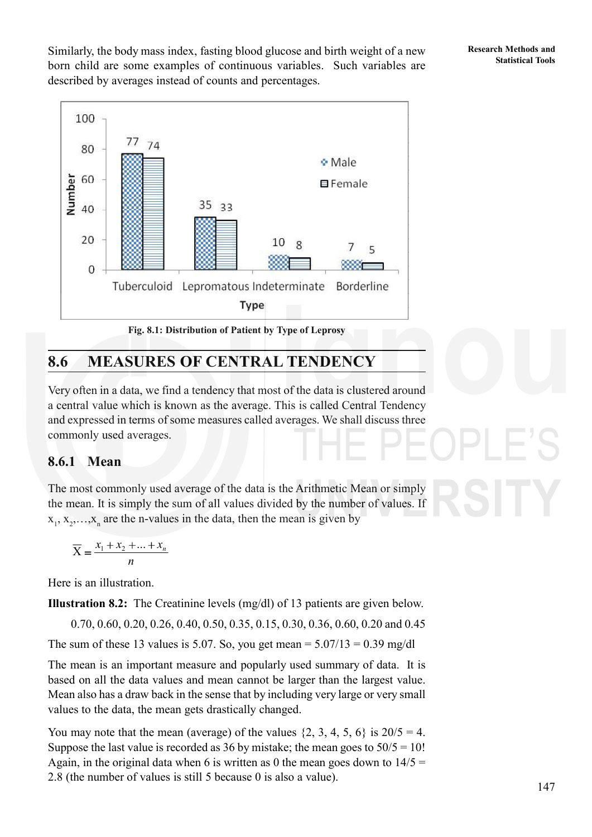**Research Methods and**

Similarly, the body mass index, fasting blood glucose and birth weight of a new **Research Methods and** born child are some examples of continuous variables. Such variables are described by averages instead of counts and percentages.



# **8.6 MEASURES OF CENTRAL TENDENCY**

Very often in a data, we find a tendency that most of the data is clustered around a central value which is known as the average. This is called Central Tendency and expressed in terms of some measures called averages. We shall discuss three commonly used averages.

# **8.6.1 Mean**

The most commonly used average of the data is the Arithmetic Mean or simply the mean. It is simply the sum of all values divided by the number of values. If  $x_1, x_2, \ldots, x_n$  are the n-values in the data, then the mean is given by

$$
\overline{X} = \frac{x_1 + x_2 + \dots + x_n}{n}
$$

Here is an illustration.

**Illustration 8.2:** The Creatinine levels (mg/dl) of 13 patients are given below.

0.70, 0.60, 0.20, 0.26, 0.40, 0.50, 0.35, 0.15, 0.30, 0.36, 0.60, 0.20 and 0.45

The sum of these 13 values is 5.07. So, you get mean =  $5.07/13 = 0.39$  mg/dl

The mean is an important measure and popularly used summary of data. It is based on all the data values and mean cannot be larger than the largest value. Mean also has a draw back in the sense that by including very large or very small values to the data, the mean gets drastically changed.

You may note that the mean (average) of the values  $\{2, 3, 4, 5, 6\}$  is  $20/5 = 4$ . Suppose the last value is recorded as 36 by mistake; the mean goes to  $50/5 = 10!$ Again, in the original data when 6 is written as 0 the mean goes down to  $14/5 =$ 2.8 (the number of values is still 5 because 0 is also a value).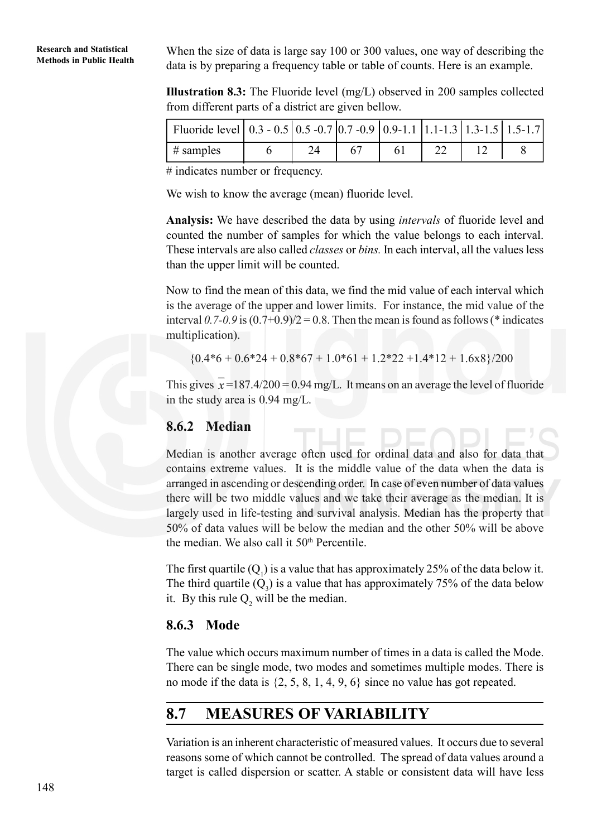**Research and Statistical** When the size of data is large say 100 or 300 values, one way of describing the Methods in Public Health data is by preparing a frequency table or table of counts. Here is an example.

> **Illustration 8.3:** The Fluoride level (mg/L) observed in 200 samples collected from different parts of a district are given bellow.

| Fluoride level   0.3 - 0.5   0.5 -0.7   0.7 -0.9   0.9-1.1   1.1-1.3   1.3-1.5   1.5-1.7 |  |     |  |  |
|------------------------------------------------------------------------------------------|--|-----|--|--|
| $\frac{1}{2}$ # samples                                                                  |  | -67 |  |  |

# indicates number or frequency.

We wish to know the average (mean) fluoride level.

**Analysis:** We have described the data by using *intervals* of fluoride level and counted the number of samples for which the value belongs to each interval. These intervals are also called *classes* or *bins.* In each interval, all the values less than the upper limit will be counted.

Now to find the mean of this data, we find the mid value of each interval which is the average of the upper and lower limits. For instance, the mid value of the interval  $0.7-0.9$  is  $(0.7+0.9)/2 = 0.8$ . Then the mean is found as follows (\* indicates multiplication).

$$
{0.4*6+0.6*24+0.8*67+1.0*61+1.2*22+1.4*12+1.6x8}/200
$$

This gives  $x=187.4/200 = 0.94$  mg/L. It means on an average the level of fluoride in the study area is 0.94 mg/L.

#### **8.6.2 Median**

Median is another average often used for ordinal data and also for data that contains extreme values. It is the middle value of the data when the data is arranged in ascending or descending order. In case of even number of data values there will be two middle values and we take their average as the median. It is largely used in life-testing and survival analysis. Median has the property that 50% of data values will be below the median and the other 50% will be above the median. We also call it 50th Percentile.

The first quartile  $(Q_1)$  is a value that has approximately 25% of the data below it. The third quartile  $(Q_3)$  is a value that has approximately 75% of the data below it. By this rule  $Q_2$  will be the median.

#### **8.6.3 Mode**

The value which occurs maximum number of times in a data is called the Mode. There can be single mode, two modes and sometimes multiple modes. There is no mode if the data is {2, 5, 8, 1, 4, 9, 6} since no value has got repeated.

# **8.7 MEASURES OF VARIABILITY**

Variation is an inherent characteristic of measured values. It occurs due to several reasons some of which cannot be controlled. The spread of data values around a target is called dispersion or scatter. A stable or consistent data will have less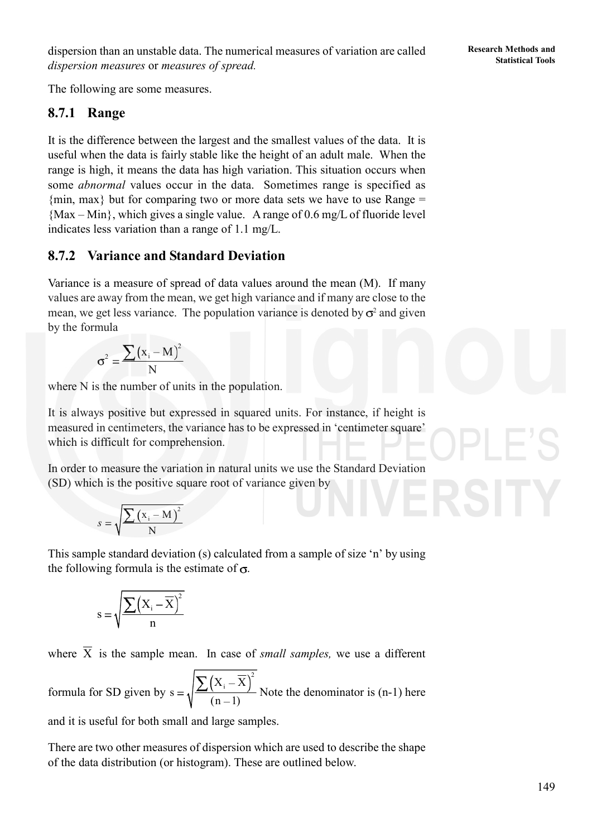dispersion than an unstable data. The numerical measures of variation are called<br>Statistical Tools *dispersion measures* or *measures of spread.*

The following are some measures.

#### **8.7.1 Range**

It is the difference between the largest and the smallest values of the data. It is useful when the data is fairly stable like the height of an adult male. When the range is high, it means the data has high variation. This situation occurs when some *abnormal* values occur in the data. Sometimes range is specified as  $\{\text{min}, \text{max}\}\$  but for comparing two or more data sets we have to use Range = {Max – Min}, which gives a single value.A range of 0.6 mg/L of fluoride level indicates less variation than a range of 1.1 mg/L.

#### **8.7.2 Variance and Standard Deviation**

Variance is a measure of spread of data values around the mean (M). If many values are away from the mean, we get high variance and if many are close to the mean, we get less variance. The population variance is denoted by  $\sigma^2$  and given by the formula

$$
\sigma^2 = \frac{\sum (x_i - M)^2}{N}
$$

where N is the number of units in the population.

It is always positive but expressed in squared units. For instance, if height is measured in centimeters, the variance has to be expressed in 'centimeter square' which is difficult for comprehension.

In order to measure the variation in natural units we use the Standard Deviation (SD) which is the positive square root of variance given by

$$
s = \sqrt{\frac{\sum (x_i - M)^2}{N}}
$$

This sample standard deviation (s) calculated from a sample of size 'n' by using the following formula is the estimate of  $\sigma$ .

$$
s = \sqrt{\frac{\sum (X_i - \overline{X})^2}{n}}
$$

where  $\overline{X}$  is the sample mean. In case of *small samples*, we use a different

formula for SD given by  $X_i - \overline{X}$ <sup>2</sup>  $s = \sqrt{\frac{2(n-1)}{(n-1)}}$  Note the denominator is (n-1) here

and it is useful for both small and large samples.

There are two other measures of dispersion which are used to describe the shape of the data distribution (or histogram). These are outlined below.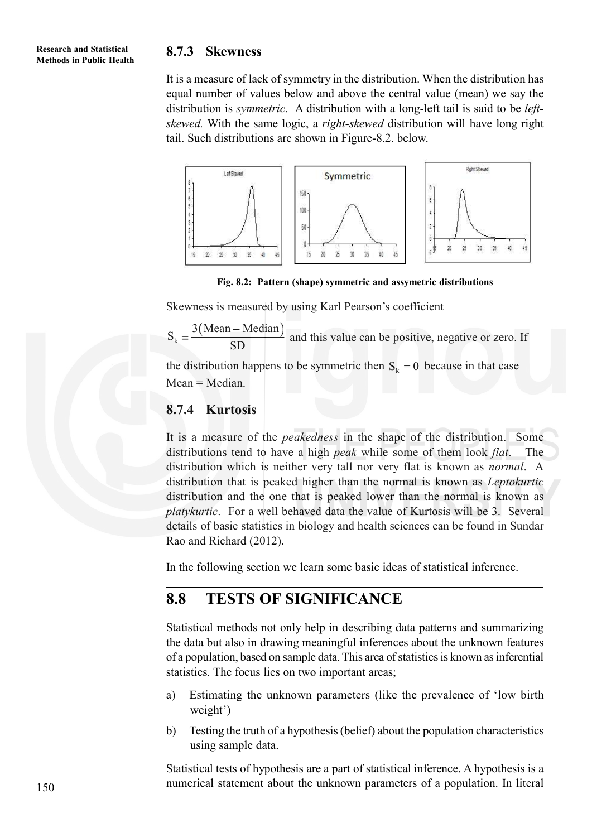#### **8.7.3 Skewness**

It is a measure of lack of symmetry in the distribution. When the distribution has equal number of values below and above the central value (mean) we say the distribution is *symmetric*. A distribution with a long-left tail is said to be *leftskewed.* With the same logic, a *right-skewed* distribution will have long right tail. Such distributions are shown in Figure-8.2. below.



**Fig. 8.2: Pattern (shape) symmetric and assymetric distributions**

Skewness is measured by using Karl Pearson's coefficient

 $S_k = \frac{3(Nean - Median)}{SD}$  $\frac{1}{SD}$  and this value can be positive, negative or zero. If

the distribution happens to be symmetric then  $S_k = 0$  because in that case Mean = Median.

#### **8.7.4 Kurtosis**

It is a measure of the *peakedness* in the shape of the distribution. Some distributions tend to have a high *peak* while some of them look *flat*. The distribution which is neither very tall nor very flat is known as *normal*. A distribution that is peaked higher than the normal is known as *Leptokurtic* distribution and the one that is peaked lower than the normal is known as *platykurtic*. For a well behaved data the value of Kurtosis will be 3. Several details of basic statistics in biology and health sciences can be found in Sundar Rao and Richard (2012).

In the following section we learn some basic ideas of statistical inference.

# **8.8 TESTS OF SIGNIFICANCE**

Statistical methods not only help in describing data patterns and summarizing the data but also in drawing meaningful inferences about the unknown features of a population, based on sample data. This area of statistics is known as inferential statistics*.* The focus lies on two important areas;

- a) Estimating the unknown parameters (like the prevalence of 'low birth weight')
- b) Testing the truth of a hypothesis (belief) about the population characteristics using sample data.

Statistical tests of hypothesis are a part of statistical inference. A hypothesis is a numerical statement about the unknown parameters of a population. In literal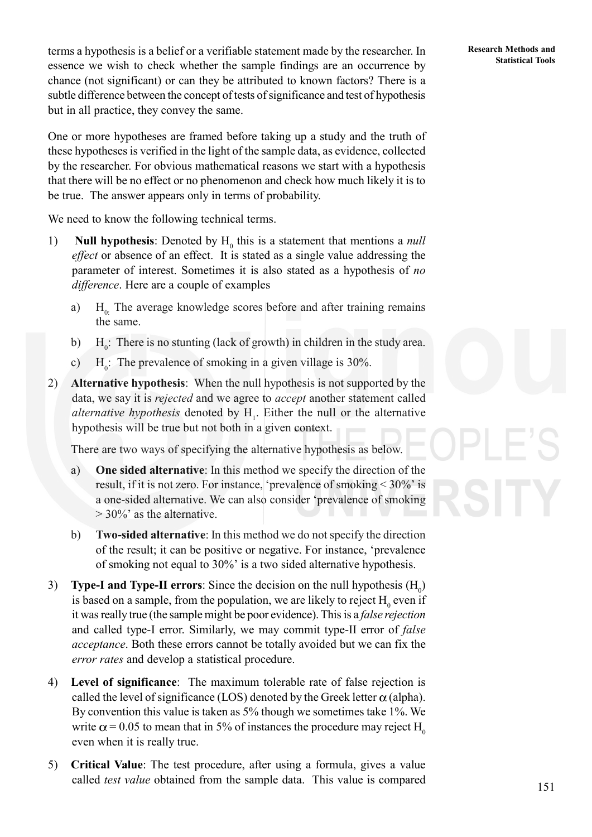**Statistical Tools** terms a hypothesis is a belief or a verifiable statement made by the researcher. In **Statistical Tools** essence we wish to check whether the sample findings are an occurrence by chance (not significant) or can they be attributed to known factors? There is a subtle difference between the concept of tests of significance and test of hypothesis but in all practice, they convey the same.

One or more hypotheses are framed before taking up a study and the truth of these hypotheses is verified in the light of the sample data, as evidence, collected by the researcher. For obvious mathematical reasons we start with a hypothesis that there will be no effect or no phenomenon and check how much likely it is to be true. The answer appears only in terms of probability.

We need to know the following technical terms.

- 1) **Null hypothesis**: Denoted by  $H_0$  this is a statement that mentions a *null effect* or absence of an effect. It is stated as a single value addressing the parameter of interest. Sometimes it is also stated as a hypothesis of *no difference*. Here are a couple of examples
	- a)  $H_0$ . The average knowledge scores before and after training remains the same.
	- b)  $H_0$ : There is no stunting (lack of growth) in children in the study area.
	- c)  $H_0$ : The prevalence of smoking in a given village is 30%.
- 2) **Alternative hypothesis**: When the null hypothesis is not supported by the data, we say it is *rejected* and we agree to *accept* another statement called *alternative hypothesis* denoted by H<sub>1</sub>. Either the null or the alternative hypothesis will be true but not both in a given context.

There are two ways of specifying the alternative hypothesis as below.

- a) **One sided alternative**: In this method we specify the direction of the result, if it is not zero. For instance, 'prevalence of smoking < 30%' is a one-sided alternative. We can also consider 'prevalence of smoking > 30%' as the alternative.
- b) **Two-sided alternative**: In this method we do not specify the direction of the result; it can be positive or negative. For instance, 'prevalence of smoking not equal to 30%' is a two sided alternative hypothesis.
- 3) **Type-I and Type-II errors**: Since the decision on the null hypothesis  $(H_0)$ is based on a sample, from the population, we are likely to reject  $H_0$  even if it was really true (the sample might be poor evidence). This is a *false rejection* and called type-I error. Similarly, we may commit type-II error of *false acceptance*. Both these errors cannot be totally avoided but we can fix the *error rates* and develop a statistical procedure.
- 4) **Level of significance**: The maximum tolerable rate of false rejection is called the level of significance (LOS) denoted by the Greek letter  $\alpha$  (alpha). By convention this value is taken as 5% though we sometimes take 1%. We write  $\alpha$  = 0.05 to mean that in 5% of instances the procedure may reject H<sub>0</sub> even when it is really true.
- 5) **Critical Value**: The test procedure, after using a formula, gives a value called *test value* obtained from the sample data. This value is compared

**Research Methods and**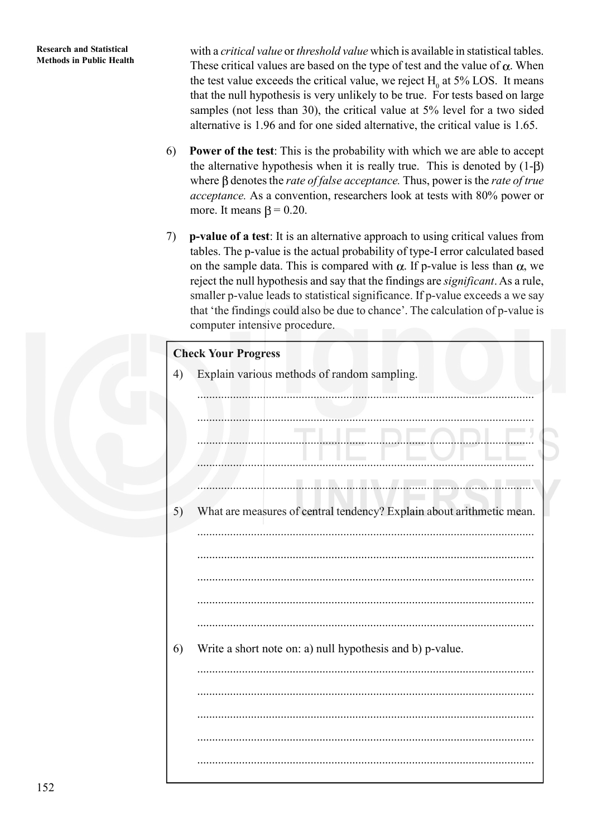with a *critical value* or *threshold value* which is available in statistical tables. These critical values are based on the type of test and the value of  $\alpha$ . When the test value exceeds the critical value, we reject  $H_0$  at 5% LOS. It means that the null hypothesis is very unlikely to be true. For tests based on large samples (not less than 30), the critical value at 5% level for a two sided alternative is 1.96 and for one sided alternative, the critical value is 1.65.

- 6) **Power of the test**: This is the probability with which we are able to accept the alternative hypothesis when it is really true. This is denoted by  $(1-\beta)$ where  $\beta$  denotes the *rate of false acceptance*. Thus, power is the *rate of true acceptance.* As a convention, researchers look at tests with 80% power or more. It means  $\beta = 0.20$ .
- 7) **p-value of a test**: It is an alternative approach to using critical values from tables. The p-value is the actual probability of type-I error calculated based on the sample data. This is compared with  $\alpha$ . If p-value is less than  $\alpha$ , we reject the null hypothesis and say that the findings are *significant*. As a rule, smaller p-value leads to statistical significance. If p-value exceeds a we say that 'the findings could also be due to chance'. The calculation of p-value is computer intensive procedure.

# **Check Your Progress** 4) Explain various methods of random sampling. ................................................................................................................. ................................................................................................................. ................................................................................................................. ................................................................................................................. ................................................................................................................. 5) What are measures of central tendency? Explain about arithmetic mean. ................................................................................................................. ................................................................................................................. ................................................................................................................. ................................................................................................................. ................................................................................................................. 6) Write a short note on: a) null hypothesis and b) p-value. ................................................................................................................. ................................................................................................................. ................................................................................................................. ................................................................................................................. .................................................................................................................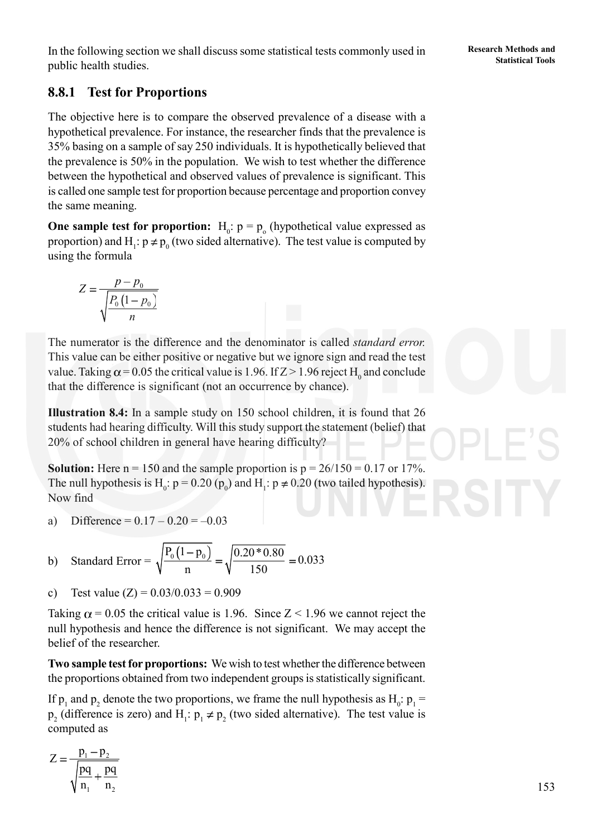In the following section we shall discuss some statistical tests commonly used in **Statistical Tools**<br>Statistical Tools public health studies.

# **8.8.1 Test for Proportions**

The objective here is to compare the observed prevalence of a disease with a hypothetical prevalence. For instance, the researcher finds that the prevalence is 35% basing on a sample of say 250 individuals. It is hypothetically believed that the prevalence is 50% in the population. We wish to test whether the difference between the hypothetical and observed values of prevalence is significant. This is called one sample test for proportion because percentage and proportion convey the same meaning.

**One sample test for proportion:**  $H_0: p = p_0$  (hypothetical value expressed as proportion) and  $H_1$ :  $p \neq p_0$  (two sided alternative). The test value is computed by using the formula

$$
Z = \frac{p - p_0}{\sqrt{\frac{P_0(1 - p_0)}{n}}}
$$

The numerator is the difference and the denominator is called *standard error.* This value can be either positive or negative but we ignore sign and read the test value. Taking  $\alpha$  = 0.05 the critical value is 1.96. If Z > 1.96 reject H<sub>0</sub> and conclude that the difference is significant (not an occurrence by chance).

**Illustration 8.4:** In a sample study on 150 school children, it is found that 26 students had hearing difficulty. Will this study support the statement (belief) that 20% of school children in general have hearing difficulty?

**Solution:** Here  $n = 150$  and the sample proportion is  $p = 26/150 = 0.17$  or 17%. The null hypothesis is H<sub>0</sub>:  $p = 0.20$  ( $p_0$ ) and H<sub>1</sub>:  $p \neq 0.20$  (two tailed hypothesis). Now find

a) Difference =  $0.17 - 0.20 = -0.03$ 

b) Standard Error = 
$$
\sqrt{\frac{P_0(1-p_0)}{n}} = \sqrt{\frac{0.20 * 0.80}{150}} = 0.033
$$

c) Test value  $(Z) = 0.03/0.033 = 0.909$ 

Taking  $\alpha$  = 0.05 the critical value is 1.96. Since Z < 1.96 we cannot reject the null hypothesis and hence the difference is not significant. We may accept the belief of the researcher.

**Two sample test for proportions:** We wish to test whether the difference between the proportions obtained from two independent groups is statistically significant.

If  $p_1$  and  $p_2$  denote the two proportions, we frame the null hypothesis as  $H_0: p_1 =$  $p_2$  (difference is zero) and  $H_1: p_1 \neq p_2$  (two sided alternative). The test value is computed as

$$
Z = \frac{p_1 - p_2}{\sqrt{\frac{pq}{n_1} + \frac{pq}{n_2}}}
$$

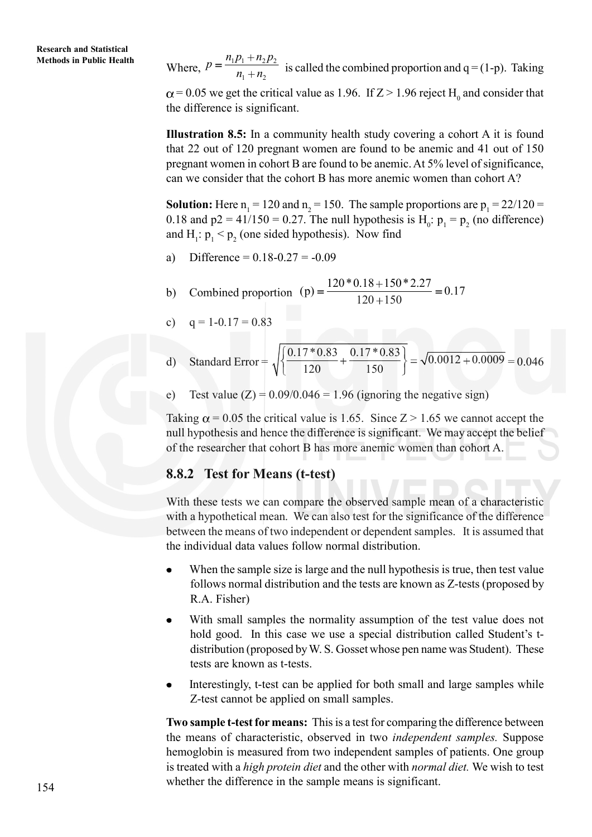**Methods in Public Health** Where,  $p = \frac{n_1 p_1 + n_2 p_2}{n_1 + n_2}$  $p = \frac{n_1 p_1 + n_2 p}{p_1}$  $\frac{n_1 + n_2}{n_1 + n_2}$  is called the combined proportion and  $q = (1-p)$ . Taking  $\mu = 0.05$  we get the critical value as 1.96. If  $Z > 1.96$  reject H<sub>0</sub> and consider that the difference is significant.

> **Illustration 8.5:** In a community health study covering a cohort A it is found that 22 out of 120 pregnant women are found to be anemic and 41 out of 150 pregnant women in cohort B are found to be anemic. At 5% level of significance, can we consider that the cohort B has more anemic women than cohort A?

> **Solution:** Here  $n_1 = 120$  and  $n_2 = 150$ . The sample proportions are  $p_1 = 22/120 =$ 0.18 and  $p2 = 41/150 = 0.27$ . The null hypothesis is  $H_0: p_1 = p_2$  (no difference) and  $H_1$ :  $p_1 < p_2$  (one sided hypothesis). Now find

- a) Difference =  $0.18 0.27 = -0.09$
- b) Combined proportion (p) =  $\frac{120 * 0.18 + 150 * 2.27}{120 * 150} = 0.17$  $120 + 150$
- c)  $q = 1 0.17 = 0.83$

d) Standard Error = 
$$
\sqrt{\left\{\frac{0.17 * 0.83}{120} + \frac{0.17 * 0.83}{150}\right\}} = \sqrt{0.0012 + 0.0009} = 0.046
$$

e) Test value  $(Z) = 0.09/0.046 = 1.96$  (ignoring the negative sign)

Taking  $\alpha$  = 0.05 the critical value is 1.65. Since Z > 1.65 we cannot accept the null hypothesis and hence the difference is significant. We may accept the belief of the researcher that cohort B has more anemic women than cohort A.

#### **8.8.2 Test for Means (t-test)**

With these tests we can compare the observed sample mean of a characteristic with a hypothetical mean. We can also test for the significance of the difference between the means of two independent or dependent samples. It is assumed that the individual data values follow normal distribution.

- When the sample size is large and the null hypothesis is true, then test value follows normal distribution and the tests are known as Z-tests (proposed by R.A. Fisher)
- With small samples the normality assumption of the test value does not  $\bullet$ hold good. In this case we use a special distribution called Student's tdistribution (proposed by W. S. Gosset whose pen name was Student). These tests are known as t-tests.
- Interestingly, t-test can be applied for both small and large samples while Z-test cannot be applied on small samples.

**Two sample t-test for means:** This is a test for comparing the difference between the means of characteristic, observed in two *independent samples.* Suppose hemoglobin is measured from two independent samples of patients. One group is treated with a *high protein diet* and the other with *normal diet.* We wish to test whether the difference in the sample means is significant.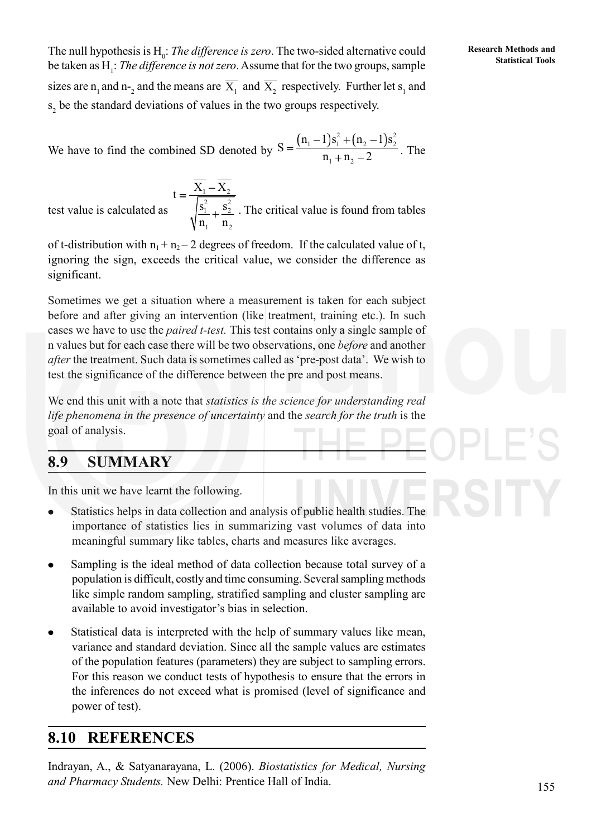The null hypothesis is H<sub>0</sub>: *The difference is zero*. The two-sided alternative could<br>he telem as H : *The difference is not zero*. Assume that for the two groups, sample, **Statistical Tools** be taken as H<sub>1</sub>: *The difference is not zero*. Assume that for the two groups, sample sizes are  $n_1$  and  $n_2$  and the means are  $X_1$  and  $X_2$  respectively. Further let  $s_1$  and  $s<sub>2</sub>$  be the standard deviations of values in the two groups respectively.

We have to find the combined SD denoted by 
$$
S = \frac{(n_1 - 1)s_1^2 + (n_2 - 1)s_2^2}{n_1 + n_2 - 2}
$$
. The

test value is calculated as  $1 - \frac{1}{2}$ 2  $\alpha^2$  $\frac{1}{2}$   $\pm$   $\frac{3}{2}$  $1 \t 1 \t 2$  $t = \frac{X_1 - X}{\sqrt{2}}$  $s_1^2$ , s  $n_1$  n . The critical value is found from tables

of t-distribution with  $n_1 + n_2 - 2$  degrees of freedom. If the calculated value of t, ignoring the sign, exceeds the critical value, we consider the difference as significant.

Sometimes we get a situation where a measurement is taken for each subject before and after giving an intervention (like treatment, training etc.). In such cases we have to use the *paired t-test.* This test contains only a single sample of n values but for each case there will be two observations, one *before* and another *after* the treatment. Such data is sometimes called as 'pre-post data'. We wish to test the significance of the difference between the pre and post means.

We end this unit with a note that *statistics is the science for understanding real life phenomena in the presence of uncertainty* and the *search for the truth* is the goal of analysis.

# **8.9 SUMMARY**

In this unit we have learnt the following.

- Statistics helps in data collection and analysis of public health studies. The importance of statistics lies in summarizing vast volumes of data into meaningful summary like tables, charts and measures like averages.
- Sampling is the ideal method of data collection because total survey of a population is difficult, costly and time consuming. Several sampling methods like simple random sampling, stratified sampling and cluster sampling are available to avoid investigator's bias in selection.
- Statistical data is interpreted with the help of summary values like mean, variance and standard deviation. Since all the sample values are estimates of the population features (parameters) they are subject to sampling errors. For this reason we conduct tests of hypothesis to ensure that the errors in the inferences do not exceed what is promised (level of significance and power of test).

# **8.10 REFERENCES**

Indrayan, A., & Satyanarayana, L. (2006). *Biostatistics for Medical, Nursing and Pharmacy Students.* New Delhi: Prentice Hall of India.